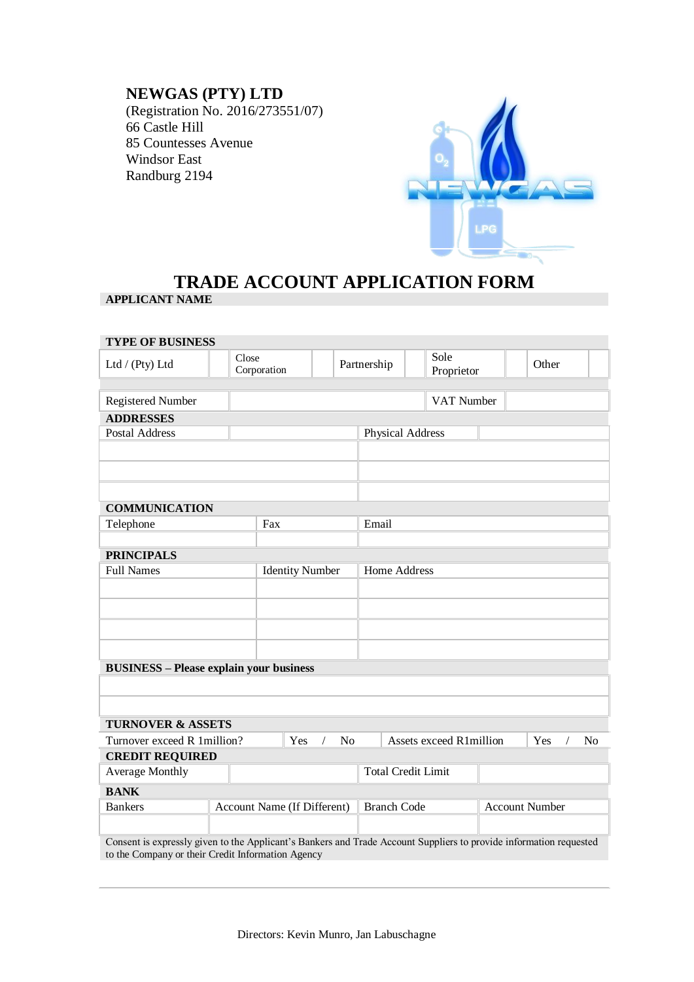## **NEWGAS (PTY) LTD**

(Registration No. 2016/273551/07) 66 Castle Hill 85 Countesses Avenue Windsor East Randburg 2194



## **TRADE ACCOUNT APPLICATION FORM APPLICANT NAME**

| <b>TYPE OF BUSINESS</b>                                                                                                                                                 |                             |                        |             |                                             |                                                                    |                    |  |       |  |
|-------------------------------------------------------------------------------------------------------------------------------------------------------------------------|-----------------------------|------------------------|-------------|---------------------------------------------|--------------------------------------------------------------------|--------------------|--|-------|--|
| Ltd / (Pty) Ltd                                                                                                                                                         | Close                       | Corporation            | Partnership |                                             |                                                                    | Sole<br>Proprietor |  | Other |  |
|                                                                                                                                                                         |                             |                        |             |                                             |                                                                    |                    |  |       |  |
| <b>Registered Number</b>                                                                                                                                                |                             |                        |             | VAT Number                                  |                                                                    |                    |  |       |  |
| <b>ADDRESSES</b>                                                                                                                                                        |                             |                        |             |                                             |                                                                    |                    |  |       |  |
| Postal Address                                                                                                                                                          |                             |                        |             | <b>Physical Address</b>                     |                                                                    |                    |  |       |  |
|                                                                                                                                                                         |                             |                        |             |                                             |                                                                    |                    |  |       |  |
|                                                                                                                                                                         |                             |                        |             |                                             |                                                                    |                    |  |       |  |
|                                                                                                                                                                         |                             |                        |             |                                             |                                                                    |                    |  |       |  |
| <b>COMMUNICATION</b>                                                                                                                                                    |                             |                        |             |                                             |                                                                    |                    |  |       |  |
| Telephone                                                                                                                                                               |                             | Fax                    |             | Email                                       |                                                                    |                    |  |       |  |
|                                                                                                                                                                         |                             |                        |             |                                             |                                                                    |                    |  |       |  |
| <b>PRINCIPALS</b>                                                                                                                                                       |                             |                        |             |                                             |                                                                    |                    |  |       |  |
| <b>Full Names</b>                                                                                                                                                       |                             | <b>Identity Number</b> |             | Home Address                                |                                                                    |                    |  |       |  |
|                                                                                                                                                                         |                             |                        |             |                                             |                                                                    |                    |  |       |  |
|                                                                                                                                                                         |                             |                        |             |                                             |                                                                    |                    |  |       |  |
|                                                                                                                                                                         |                             |                        |             |                                             |                                                                    |                    |  |       |  |
|                                                                                                                                                                         |                             |                        |             |                                             |                                                                    |                    |  |       |  |
| <b>BUSINESS - Please explain your business</b>                                                                                                                          |                             |                        |             |                                             |                                                                    |                    |  |       |  |
|                                                                                                                                                                         |                             |                        |             |                                             |                                                                    |                    |  |       |  |
|                                                                                                                                                                         |                             |                        |             |                                             |                                                                    |                    |  |       |  |
|                                                                                                                                                                         |                             |                        |             |                                             |                                                                    |                    |  |       |  |
| <b>TURNOVER &amp; ASSETS</b>                                                                                                                                            |                             |                        |             |                                             |                                                                    |                    |  |       |  |
| Turnover exceed R 1 million?<br>Yes<br>N <sub>o</sub><br>$\sqrt{2}$                                                                                                     |                             |                        |             |                                             | Assets exceed R1million<br>Yes<br>N <sub>o</sub><br>$\overline{1}$ |                    |  |       |  |
| <b>CREDIT REQUIRED</b><br><b>Average Monthly</b>                                                                                                                        |                             |                        |             |                                             | <b>Total Credit Limit</b>                                          |                    |  |       |  |
|                                                                                                                                                                         |                             |                        |             |                                             |                                                                    |                    |  |       |  |
| <b>BANK</b>                                                                                                                                                             |                             |                        |             |                                             |                                                                    |                    |  |       |  |
| <b>Bankers</b>                                                                                                                                                          | Account Name (If Different) |                        |             | <b>Branch Code</b><br><b>Account Number</b> |                                                                    |                    |  |       |  |
|                                                                                                                                                                         |                             |                        |             |                                             |                                                                    |                    |  |       |  |
| Consent is expressly given to the Applicant's Bankers and Trade Account Suppliers to provide information requested<br>to the Company or their Credit Information Agency |                             |                        |             |                                             |                                                                    |                    |  |       |  |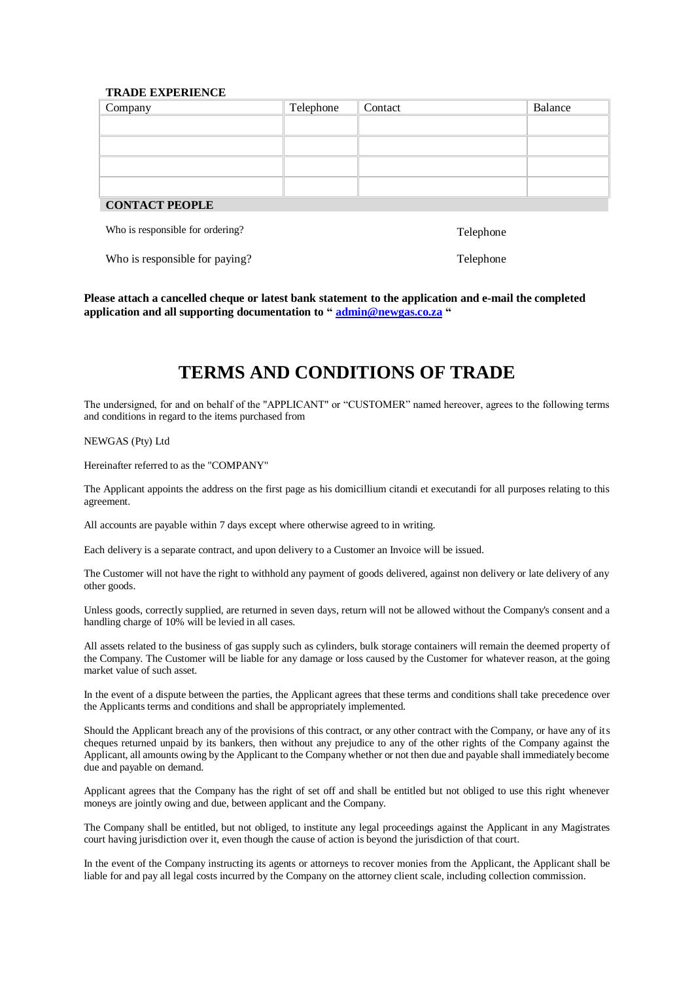## **TRADE EXPERIENCE**

| Company               | Telephone | Contact | Balance |
|-----------------------|-----------|---------|---------|
|                       |           |         |         |
|                       |           |         |         |
|                       |           |         |         |
|                       |           |         |         |
| <b>CONTACT PEOPLE</b> |           |         |         |

Who is responsible for ordering? Telephone

Who is responsible for paying? Telephone

**Please attach a cancelled cheque or latest bank statement to the application and e-mail the completed application and all supporting documentation to " [admin@newgas.co.za](mailto:admin@newgas.co.za) "**

## **TERMS AND CONDITIONS OF TRADE**

The undersigned, for and on behalf of the "APPLICANT" or "CUSTOMER" named hereover, agrees to the following terms and conditions in regard to the items purchased from

NEWGAS (Pty) Ltd

Hereinafter referred to as the "COMPANY"

The Applicant appoints the address on the first page as his domicillium citandi et executandi for all purposes relating to this agreement.

All accounts are payable within 7 days except where otherwise agreed to in writing.

Each delivery is a separate contract, and upon delivery to a Customer an Invoice will be issued.

The Customer will not have the right to withhold any payment of goods delivered, against non delivery or late delivery of any other goods.

Unless goods, correctly supplied, are returned in seven days, return will not be allowed without the Company's consent and a handling charge of 10% will be levied in all cases.

All assets related to the business of gas supply such as cylinders, bulk storage containers will remain the deemed property of the Company. The Customer will be liable for any damage or loss caused by the Customer for whatever reason, at the going market value of such asset.

In the event of a dispute between the parties, the Applicant agrees that these terms and conditions shall take precedence over the Applicants terms and conditions and shall be appropriately implemented.

Should the Applicant breach any of the provisions of this contract, or any other contract with the Company, or have any of its cheques returned unpaid by its bankers, then without any prejudice to any of the other rights of the Company against the Applicant, all amounts owing by the Applicant to the Company whether or not then due and payable shall immediately become due and payable on demand.

Applicant agrees that the Company has the right of set off and shall be entitled but not obliged to use this right whenever moneys are jointly owing and due, between applicant and the Company.

The Company shall be entitled, but not obliged, to institute any legal proceedings against the Applicant in any Magistrates court having jurisdiction over it, even though the cause of action is beyond the jurisdiction of that court.

In the event of the Company instructing its agents or attorneys to recover monies from the Applicant, the Applicant shall be liable for and pay all legal costs incurred by the Company on the attorney client scale, including collection commission.